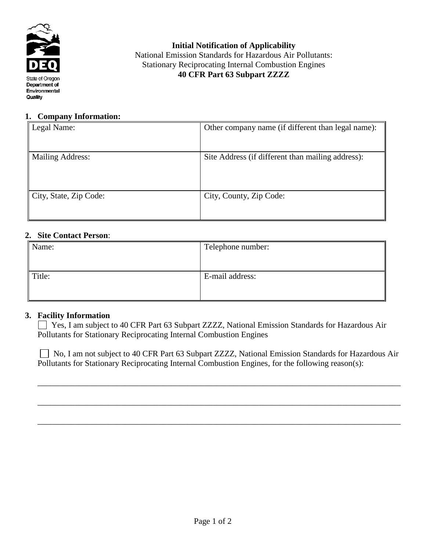

**Initial Notification of Applicability** National Emission Standards for Hazardous Air Pollutants: Stationary Reciprocating Internal Combustion Engines **40 CFR Part 63 Subpart ZZZZ**

#### **1. Company Information:**

| Legal Name:             | Other company name (if different than legal name): |
|-------------------------|----------------------------------------------------|
|                         |                                                    |
| <b>Mailing Address:</b> | Site Address (if different than mailing address):  |
|                         |                                                    |
|                         |                                                    |
|                         |                                                    |
| City, State, Zip Code:  | City, County, Zip Code:                            |
|                         |                                                    |
|                         |                                                    |

#### **2. Site Contact Person**:

| Telephone number: |
|-------------------|
|                   |
|                   |
|                   |
|                   |

### **3. Facility Information**

 Yes, I am subject to 40 CFR Part 63 Subpart ZZZZ, National Emission Standards for Hazardous Air Pollutants for Stationary Reciprocating Internal Combustion Engines

□ No, I am not subject to 40 CFR Part 63 Subpart ZZZZ, National Emission Standards for Hazardous Air Pollutants for Stationary Reciprocating Internal Combustion Engines, for the following reason(s):

\_\_\_\_\_\_\_\_\_\_\_\_\_\_\_\_\_\_\_\_\_\_\_\_\_\_\_\_\_\_\_\_\_\_\_\_\_\_\_\_\_\_\_\_\_\_\_\_\_\_\_\_\_\_\_\_\_\_\_\_\_\_\_\_\_\_\_\_\_\_\_\_\_\_\_\_\_\_\_\_\_\_\_\_\_\_\_

\_\_\_\_\_\_\_\_\_\_\_\_\_\_\_\_\_\_\_\_\_\_\_\_\_\_\_\_\_\_\_\_\_\_\_\_\_\_\_\_\_\_\_\_\_\_\_\_\_\_\_\_\_\_\_\_\_\_\_\_\_\_\_\_\_\_\_\_\_\_\_\_\_\_\_\_\_\_\_\_\_\_\_\_\_\_\_

\_\_\_\_\_\_\_\_\_\_\_\_\_\_\_\_\_\_\_\_\_\_\_\_\_\_\_\_\_\_\_\_\_\_\_\_\_\_\_\_\_\_\_\_\_\_\_\_\_\_\_\_\_\_\_\_\_\_\_\_\_\_\_\_\_\_\_\_\_\_\_\_\_\_\_\_\_\_\_\_\_\_\_\_\_\_\_